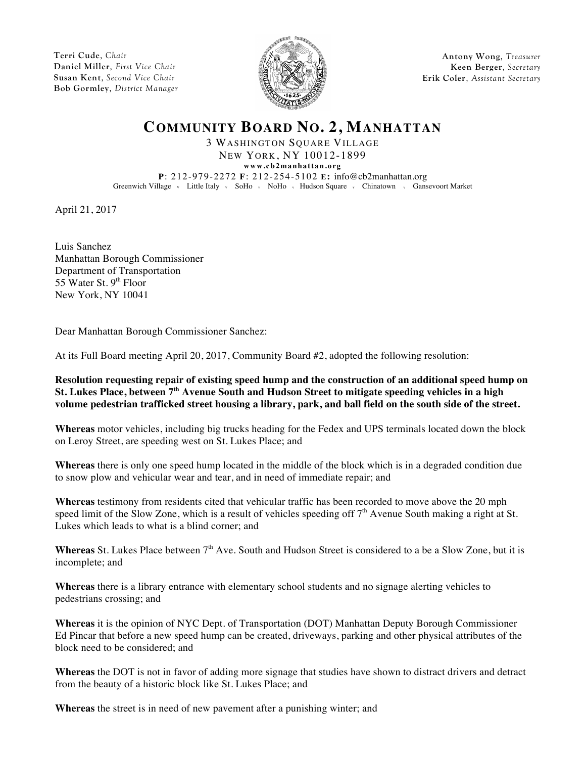**Terri Cude**, *Chair* **Daniel Miller**, *First Vice Chair* **Susan Kent**, *Second Vice Chair* **Bob Gormley**, *District Manager*



**Antony Wong**, *Treasurer* **Keen Berger**, *Secretary* **Erik Coler**, *Assistant Secretary*

## **COMMUNITY BOARD NO. 2, MANHATTAN**

3 WASHINGTON SQUARE VILLAGE NEW YORK, NY 10012-1899

**www.cb2manhattan.org P**: 212-979-2272 **F**: 212-254-5102 **E:** info@cb2manhattan.org Greenwich Village v Little Italy v SoHo v NoHo v Hudson Square v Chinatown v Gansevoort Market

April 21, 2017

Luis Sanchez Manhattan Borough Commissioner Department of Transportation 55 Water St.  $9<sup>th</sup>$  Floor New York, NY 10041

Dear Manhattan Borough Commissioner Sanchez:

At its Full Board meeting April 20, 2017, Community Board #2, adopted the following resolution:

**Resolution requesting repair of existing speed hump and the construction of an additional speed hump on St. Lukes Place, between 7th Avenue South and Hudson Street to mitigate speeding vehicles in a high volume pedestrian trafficked street housing a library, park, and ball field on the south side of the street.**

**Whereas** motor vehicles, including big trucks heading for the Fedex and UPS terminals located down the block on Leroy Street, are speeding west on St. Lukes Place; and

**Whereas** there is only one speed hump located in the middle of the block which is in a degraded condition due to snow plow and vehicular wear and tear, and in need of immediate repair; and

**Whereas** testimony from residents cited that vehicular traffic has been recorded to move above the 20 mph speed limit of the Slow Zone, which is a result of vehicles speeding off  $7<sup>th</sup>$  Avenue South making a right at St. Lukes which leads to what is a blind corner; and

**Whereas** St. Lukes Place between 7<sup>th</sup> Ave. South and Hudson Street is considered to a be a Slow Zone, but it is incomplete; and

**Whereas** there is a library entrance with elementary school students and no signage alerting vehicles to pedestrians crossing; and

**Whereas** it is the opinion of NYC Dept. of Transportation (DOT) Manhattan Deputy Borough Commissioner Ed Pincar that before a new speed hump can be created, driveways, parking and other physical attributes of the block need to be considered; and

**Whereas** the DOT is not in favor of adding more signage that studies have shown to distract drivers and detract from the beauty of a historic block like St. Lukes Place; and

**Whereas** the street is in need of new pavement after a punishing winter; and